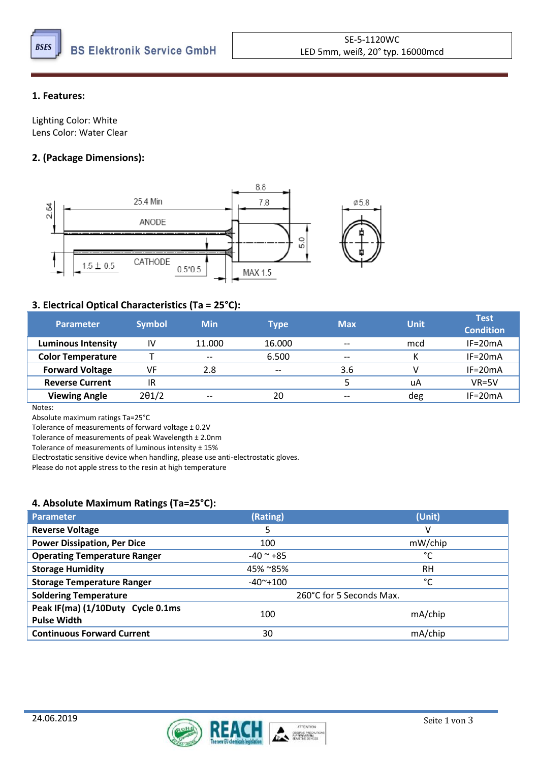

#### **1. Features:**

Lighting Color: White Lens Color: Water Clear

## **2. (Package Dimensions):**



#### **3. Electrical Optical Characteristics (Ta = 25°C):**

| <b>Parameter</b>          | <b>Symbol</b> | <b>Min</b> | Type   | <b>Max</b> | <b>Unit</b> | <b>Test</b><br><b>Condition</b> |
|---------------------------|---------------|------------|--------|------------|-------------|---------------------------------|
| <b>Luminous Intensity</b> | IV            | 11.000     | 16.000 | $- -$      | mcd         | $IF=20mA$                       |
| <b>Color Temperature</b>  |               | $- -$      | 6.500  | $-$        |             | $IF=20mA$                       |
| <b>Forward Voltage</b>    | VF            | 2.8        | $- -$  | 3.6        |             | $IF=20mA$                       |
| <b>Reverse Current</b>    | 1R            |            |        |            | uA          | $VR = 5V$                       |
| <b>Viewing Angle</b>      | $2\theta$ 1/2 | $- -$      | 20     | $- -$      | deg         | $IF=20mA$                       |

Notes:

Absolute maximum ratings Ta=25°C

Tolerance of measurements of forward voltage ± 0.2V

Tolerance of measurements of peak Wavelength ± 2.0nm

Tolerance of measurements of luminous intensity ± 15%

Electrostatic sensitive device when handling, please use anti-electrostatic gloves.

Please do not apple stress to the resin at high temperature

#### **4. Absolute Maximum Ratings (Ta=25°C):**

| <b>Parameter</b>                                        | (Rating)                 | (Unit)    |  |
|---------------------------------------------------------|--------------------------|-----------|--|
| <b>Reverse Voltage</b>                                  |                          | v         |  |
| <b>Power Dissipation, Per Dice</b>                      | 100                      | mW/chip   |  |
| <b>Operating Temperature Ranger</b>                     | $-40$ $^{\sim}$ +85      | °C        |  |
| <b>Storage Humidity</b>                                 | 45% ~85%                 | <b>RH</b> |  |
| <b>Storage Temperature Ranger</b>                       | $-40^{\sim}+100$         | °C        |  |
| <b>Soldering Temperature</b>                            | 260°C for 5 Seconds Max. |           |  |
| Peak IF(ma) (1/10Duty Cycle 0.1ms<br><b>Pulse Width</b> | 100                      | mA/chip   |  |
| <b>Continuous Forward Current</b>                       | 30                       | mA/chip   |  |

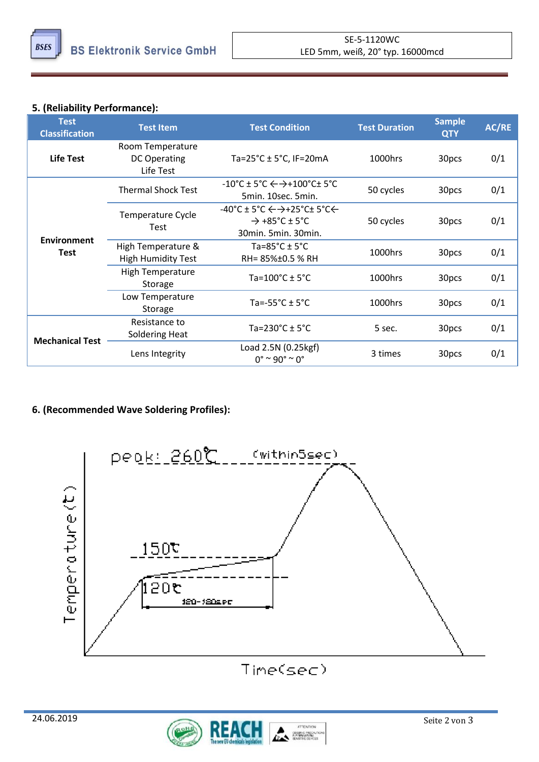

# **5. (Reliability Performance):**

| <b>Test</b><br><b>Classification</b> | <b>Test Item</b>                                     | <b>Test Condition</b>                                                                                                                                         | <b>Test Duration</b> | <b>Sample</b><br><b>QTY</b> | AC/RE |
|--------------------------------------|------------------------------------------------------|---------------------------------------------------------------------------------------------------------------------------------------------------------------|----------------------|-----------------------------|-------|
| <b>Life Test</b>                     | Room Temperature<br><b>DC Operating</b><br>Life Test | Ta= $25^{\circ}$ C ± 5 $^{\circ}$ C, IF=20mA                                                                                                                  | 1000hrs              | 30pcs                       | 0/1   |
| <b>Environment</b><br>Test           | <b>Thermal Shock Test</b>                            | $-10^{\circ}$ C ± 5 $^{\circ}$ C $\leftarrow$ $\rightarrow$ +100 $^{\circ}$ C± 5 $^{\circ}$ C<br>5min. 10sec. 5min.                                           | 50 cycles            | 30pcs                       | 0/1   |
|                                      | <b>Temperature Cycle</b><br>Test                     | $-40^{\circ}$ C ± 5 $^{\circ}$ C $\leftarrow$ $\rightarrow$ +25 $^{\circ}$ C± 5 $^{\circ}$ C $\leftarrow$<br>$\rightarrow$ +85°C ± 5°C<br>30min. 5min. 30min. | 50 cycles            | 30pcs                       | 0/1   |
|                                      | High Temperature &<br><b>High Humidity Test</b>      | Ta=85 $^{\circ}$ C ± 5 $^{\circ}$ C<br>RH= 85%±0.5 % RH                                                                                                       | 1000hrs              | 30pcs                       | 0/1   |
|                                      | <b>High Temperature</b><br>Storage                   | Ta= $100^{\circ}$ C ± 5 $^{\circ}$ C                                                                                                                          | 1000hrs              | 30pcs                       | 0/1   |
|                                      | Low Temperature<br>Storage                           | Ta=-55 $^{\circ}$ C $\pm$ 5 $^{\circ}$ C                                                                                                                      | 1000hrs              | 30pcs                       | 0/1   |
| <b>Mechanical Test</b>               | Resistance to<br>Soldering Heat                      | Ta=230 $^{\circ}$ C ± 5 $^{\circ}$ C                                                                                                                          | 5 sec.               | 30pcs                       | 0/1   |
|                                      | Lens Integrity                                       | Load 2.5N (0.25kgf)<br>$0^{\circ}$ ~ 90° ~ 0°                                                                                                                 | 3 times              | 30pcs                       | 0/1   |

## **6. (Recommended Wave Soldering Profiles):**



Time(sec)